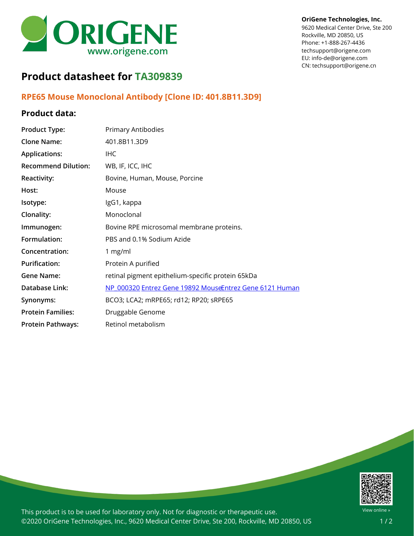

#### **OriGene Technologies, Inc.**

9620 Medical Center Drive, Ste 200 Rockville, MD 20850, US Phone: +1-888-267-4436 techsupport@origene.com EU: info-de@origene.com CN: techsupport@origene.cn

# **Product datasheet for TA309839**

## **RPE65 Mouse Monoclonal Antibody [Clone ID: 401.8B11.3D9]**

#### **Product data:**

| <b>Product Type:</b>       | Primary Antibodies                                      |
|----------------------------|---------------------------------------------------------|
| <b>Clone Name:</b>         | 401.8B11.3D9                                            |
| <b>Applications:</b>       | <b>IHC</b>                                              |
| <b>Recommend Dilution:</b> | WB, IF, ICC, IHC                                        |
| <b>Reactivity:</b>         | Bovine, Human, Mouse, Porcine                           |
| Host:                      | Mouse                                                   |
| Isotype:                   | IgG1, kappa                                             |
| Clonality:                 | Monoclonal                                              |
| Immunogen:                 | Bovine RPE microsomal membrane proteins.                |
| Formulation:               | PBS and 0.1% Sodium Azide                               |
| Concentration:             | 1 $mg/ml$                                               |
| <b>Purification:</b>       | Protein A purified                                      |
| <b>Gene Name:</b>          | retinal pigment epithelium-specific protein 65kDa       |
| Database Link:             | NP 000320 Entrez Gene 19892 MouseEntrez Gene 6121 Human |
| Synonyms:                  | BCO3; LCA2; mRPE65; rd12; RP20; sRPE65                  |
| <b>Protein Families:</b>   | Druggable Genome                                        |
| <b>Protein Pathways:</b>   | Retinol metabolism                                      |



This product is to be used for laboratory only. Not for diagnostic or therapeutic use. ©2020 OriGene Technologies, Inc., 9620 Medical Center Drive, Ste 200, Rockville, MD 20850, US